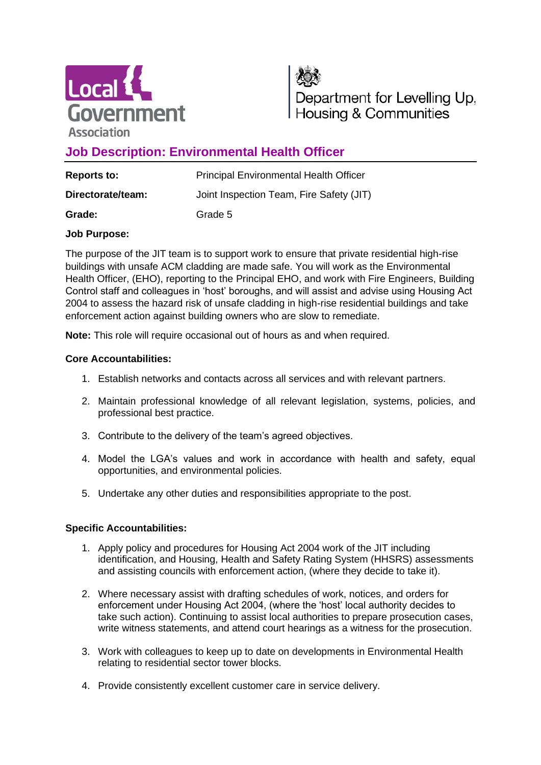



Department for Levelling Up, Housing & Communities

# **Job Description: Environmental Health Officer**

| <b>Reports to:</b> | <b>Principal Environmental Health Officer</b> |
|--------------------|-----------------------------------------------|
| Directorate/team:  | Joint Inspection Team, Fire Safety (JIT)      |
| Grade:             | Grade 5                                       |

### **Job Purpose:**

The purpose of the JIT team is to support work to ensure that private residential high-rise buildings with unsafe ACM cladding are made safe. You will work as the Environmental Health Officer, (EHO), reporting to the Principal EHO, and work with Fire Engineers, Building Control staff and colleagues in 'host' boroughs, and will assist and advise using Housing Act 2004 to assess the hazard risk of unsafe cladding in high-rise residential buildings and take enforcement action against building owners who are slow to remediate.

**Note:** This role will require occasional out of hours as and when required.

### **Core Accountabilities:**

- 1. Establish networks and contacts across all services and with relevant partners.
- 2. Maintain professional knowledge of all relevant legislation, systems, policies, and professional best practice.
- 3. Contribute to the delivery of the team's agreed objectives.
- 4. Model the LGA's values and work in accordance with health and safety, equal opportunities, and environmental policies.
- 5. Undertake any other duties and responsibilities appropriate to the post.

## **Specific Accountabilities:**

- 1. Apply policy and procedures for Housing Act 2004 work of the JIT including identification, and Housing, Health and Safety Rating System (HHSRS) assessments and assisting councils with enforcement action, (where they decide to take it).
- 2. Where necessary assist with drafting schedules of work, notices, and orders for enforcement under Housing Act 2004, (where the 'host' local authority decides to take such action). Continuing to assist local authorities to prepare prosecution cases, write witness statements, and attend court hearings as a witness for the prosecution.
- 3. Work with colleagues to keep up to date on developments in Environmental Health relating to residential sector tower blocks.
- 4. Provide consistently excellent customer care in service delivery.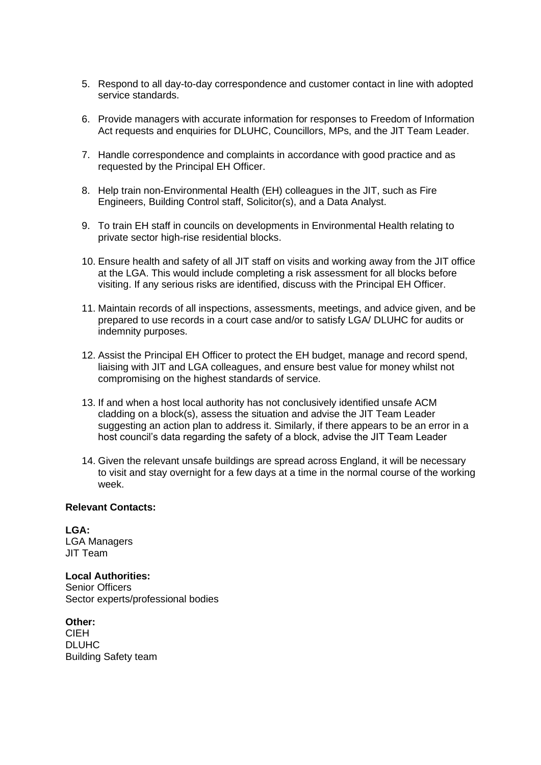- 5. Respond to all day-to-day correspondence and customer contact in line with adopted service standards.
- 6. Provide managers with accurate information for responses to Freedom of Information Act requests and enquiries for DLUHC, Councillors, MPs, and the JIT Team Leader.
- 7. Handle correspondence and complaints in accordance with good practice and as requested by the Principal EH Officer.
- 8. Help train non-Environmental Health (EH) colleagues in the JIT, such as Fire Engineers, Building Control staff, Solicitor(s), and a Data Analyst.
- 9. To train EH staff in councils on developments in Environmental Health relating to private sector high-rise residential blocks.
- 10. Ensure health and safety of all JIT staff on visits and working away from the JIT office at the LGA. This would include completing a risk assessment for all blocks before visiting. If any serious risks are identified, discuss with the Principal EH Officer.
- 11. Maintain records of all inspections, assessments, meetings, and advice given, and be prepared to use records in a court case and/or to satisfy LGA/ DLUHC for audits or indemnity purposes.
- 12. Assist the Principal EH Officer to protect the EH budget, manage and record spend, liaising with JIT and LGA colleagues, and ensure best value for money whilst not compromising on the highest standards of service.
- 13. If and when a host local authority has not conclusively identified unsafe ACM cladding on a block(s), assess the situation and advise the JIT Team Leader suggesting an action plan to address it. Similarly, if there appears to be an error in a host council's data regarding the safety of a block, advise the JIT Team Leader
- 14. Given the relevant unsafe buildings are spread across England, it will be necessary to visit and stay overnight for a few days at a time in the normal course of the working week.

#### **Relevant Contacts:**

**LGA:** LGA Managers JIT Team

## **Local Authorities:**

Senior Officers Sector experts/professional bodies

**Other:**  CIEH DLUHC Building Safety team